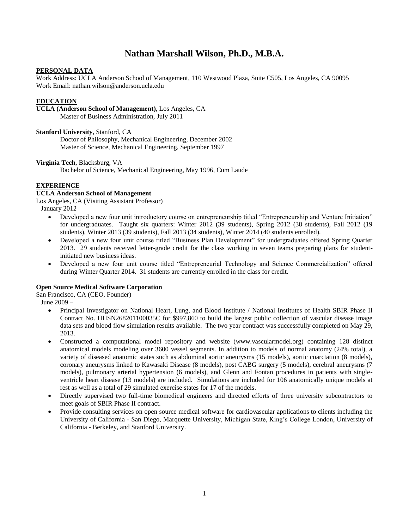# **Nathan Marshall Wilson, Ph.D., M.B.A.**

# **PERSONAL DATA**

Work Address: UCLA Anderson School of Management, 110 Westwood Plaza, Suite C505, Los Angeles, CA 90095 Work Email: nathan.wilson@anderson.ucla.edu

# **EDUCATION**

**UCLA (Anderson School of Management)**, Los Angeles, CA

Master of Business Administration, July 2011

**Stanford University**, Stanford, CA

Doctor of Philosophy, Mechanical Engineering, December 2002 Master of Science, Mechanical Engineering, September 1997

# **Virginia Tech**, Blacksburg, VA

Bachelor of Science, Mechanical Engineering, May 1996, Cum Laude

# **EXPERIENCE**

# **UCLA Anderson School of Management**

Los Angeles, CA (Visiting Assistant Professor)

January 2012 –

- Developed a new four unit introductory course on entrepreneurship titled "Entrepreneurship and Venture Initiation" for undergraduates. Taught six quarters: Winter 2012 (39 students), Spring 2012 (38 students), Fall 2012 (19 students), Winter 2013 (39 students), Fall 2013 (34 students), Winter 2014 (40 students enrolled).
- Developed a new four unit course titled "Business Plan Development" for undergraduates offered Spring Quarter 2013. 29 students received letter-grade credit for the class working in seven teams preparing plans for studentinitiated new business ideas.
- Developed a new four unit course titled "Entrepreneurial Technology and Science Commercialization" offered during Winter Quarter 2014. 31 students are currently enrolled in the class for credit.

# **Open Source Medical Software Corporation**

San Francisco, CA (CEO, Founder)

June 2009 –

- Principal Investigator on National Heart, Lung, and Blood Institute / National Institutes of Health SBIR Phase II Contract No. HHSN268201100035C for \$997,860 to build the largest public collection of vascular disease image data sets and blood flow simulation results available. The two year contract was successfully completed on May 29, 2013.
- Constructed a computational model repository and website (www.vascularmodel.org) containing 128 distinct anatomical models modeling over 3600 vessel segments. In addition to models of normal anatomy (24% total), a variety of diseased anatomic states such as abdominal aortic aneurysms (15 models), aortic coarctation (8 models), coronary aneurysms linked to Kawasaki Disease (8 models), post CABG surgery (5 models), cerebral aneurysms (7 models), pulmonary arterial hypertension (6 models), and Glenn and Fontan procedures in patients with singleventricle heart disease (13 models) are included. Simulations are included for 106 anatomically unique models at rest as well as a total of 29 simulated exercise states for 17 of the models.
- Directly supervised two full-time biomedical engineers and directed efforts of three university subcontractors to meet goals of SBIR Phase II contract.
- Provide consulting services on open source medical software for cardiovascular applications to clients including the University of California - San Diego, Marquette University, Michigan State, King's College London, University of California - Berkeley, and Stanford University.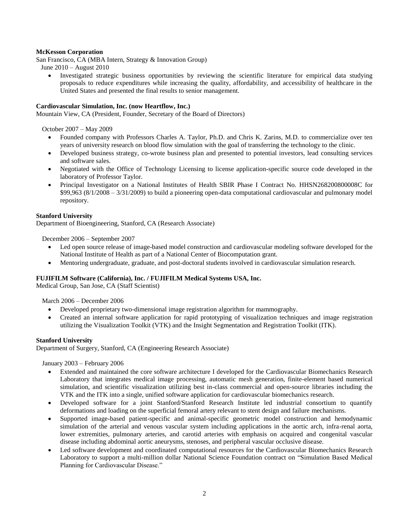# **McKesson Corporation**

San Francisco, CA (MBA Intern, Strategy & Innovation Group)

June 2010 – August 2010

 Investigated strategic business opportunities by reviewing the scientific literature for empirical data studying proposals to reduce expenditures while increasing the quality, affordability, and accessibility of healthcare in the United States and presented the final results to senior management.

# **Cardiovascular Simulation, Inc. (now Heartflow, Inc.)**

Mountain View, CA (President, Founder, Secretary of the Board of Directors)

October 2007 – May 2009

- Founded company with Professors Charles A. Taylor, Ph.D. and Chris K. Zarins, M.D. to commercialize over ten years of university research on blood flow simulation with the goal of transferring the technology to the clinic.
- Developed business strategy, co-wrote business plan and presented to potential investors, lead consulting services and software sales.
- Negotiated with the Office of Technology Licensing to license application-specific source code developed in the laboratory of Professor Taylor.
- Principal Investigator on a National Institutes of Health SBIR Phase I Contract No. HHSN268200800008C for \$99,963 (8/1/2008 – 3/31/2009) to build a pioneering open-data computational cardiovascular and pulmonary model repository.

#### **Stanford University**

Department of Bioengineering, Stanford, CA (Research Associate)

December 2006 – September 2007

- Led open source release of image-based model construction and cardiovascular modeling software developed for the National Institute of Health as part of a National Center of Biocomputation grant.
- Mentoring undergraduate, graduate, and post-doctoral students involved in cardiovascular simulation research.

#### **FUJIFILM Software (California), Inc. / FUJIFILM Medical Systems USA, Inc.**

Medical Group, San Jose, CA (Staff Scientist)

March 2006 – December 2006

- Developed proprietary two-dimensional image registration algorithm for mammography.
- Created an internal software application for rapid prototyping of visualization techniques and image registration utilizing the Visualization Toolkit (VTK) and the Insight Segmentation and Registration Toolkit (ITK).

#### **Stanford University**

Department of Surgery, Stanford, CA (Engineering Research Associate)

January 2003 – February 2006

- Extended and maintained the core software architecture I developed for the Cardiovascular Biomechanics Research Laboratory that integrates medical image processing, automatic mesh generation, finite-element based numerical simulation, and scientific visualization utilizing best in-class commercial and open-source libraries including the VTK and the ITK into a single, unified software application for cardiovascular biomechanics research.
- Developed software for a joint Stanford/Stanford Research Institute led industrial consortium to quantify deformations and loading on the superficial femoral artery relevant to stent design and failure mechanisms.
- Supported image-based patient-specific and animal-specific geometric model construction and hemodynamic simulation of the arterial and venous vascular system including applications in the aortic arch, infra-renal aorta, lower extremities, pulmonary arteries, and carotid arteries with emphasis on acquired and congenital vascular disease including abdominal aortic aneurysms, stenoses, and peripheral vascular occlusive disease.
- Led software development and coordinated computational resources for the Cardiovascular Biomechanics Research Laboratory to support a multi-million dollar National Science Foundation contract on "Simulation Based Medical Planning for Cardiovascular Disease."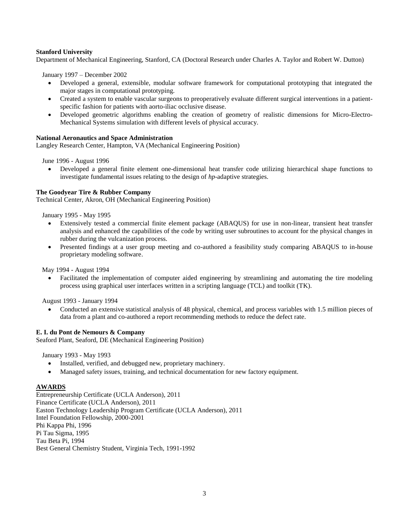# **Stanford University**

Department of Mechanical Engineering, Stanford, CA (Doctoral Research under Charles A. Taylor and Robert W. Dutton)

January 1997 – December 2002

- Developed a general, extensible, modular software framework for computational prototyping that integrated the major stages in computational prototyping.
- Created a system to enable vascular surgeons to preoperatively evaluate different surgical interventions in a patientspecific fashion for patients with aorto-iliac occlusive disease.
- Developed geometric algorithms enabling the creation of geometry of realistic dimensions for Micro-Electro-Mechanical Systems simulation with different levels of physical accuracy.

# **National Aeronautics and Space Administration**

Langley Research Center, Hampton, VA (Mechanical Engineering Position)

June 1996 - August 1996

 Developed a general finite element one-dimensional heat transfer code utilizing hierarchical shape functions to investigate fundamental issues relating to the design of *hp*-adaptive strategies.

#### **The Goodyear Tire & Rubber Company**

Technical Center, Akron, OH (Mechanical Engineering Position)

January 1995 - May 1995

- Extensively tested a commercial finite element package (ABAQUS) for use in non-linear, transient heat transfer analysis and enhanced the capabilities of the code by writing user subroutines to account for the physical changes in rubber during the vulcanization process.
- Presented findings at a user group meeting and co-authored a feasibility study comparing ABAQUS to in-house proprietary modeling software.

May 1994 - August 1994

 Facilitated the implementation of computer aided engineering by streamlining and automating the tire modeling process using graphical user interfaces written in a scripting language (TCL) and toolkit (TK).

August 1993 - January 1994

 Conducted an extensive statistical analysis of 48 physical, chemical, and process variables with 1.5 million pieces of data from a plant and co-authored a report recommending methods to reduce the defect rate.

#### **E. I. du Pont de Nemours & Company**

Seaford Plant, Seaford, DE (Mechanical Engineering Position)

January 1993 - May 1993

- Installed, verified, and debugged new, proprietary machinery.
- Managed safety issues, training, and technical documentation for new factory equipment.

#### **AWARDS**

Entrepreneurship Certificate (UCLA Anderson), 2011 Finance Certificate (UCLA Anderson), 2011 Easton Technology Leadership Program Certificate (UCLA Anderson), 2011 Intel Foundation Fellowship, 2000-2001 Phi Kappa Phi, 1996 Pi Tau Sigma, 1995 Tau Beta Pi, 1994 Best General Chemistry Student, Virginia Tech, 1991-1992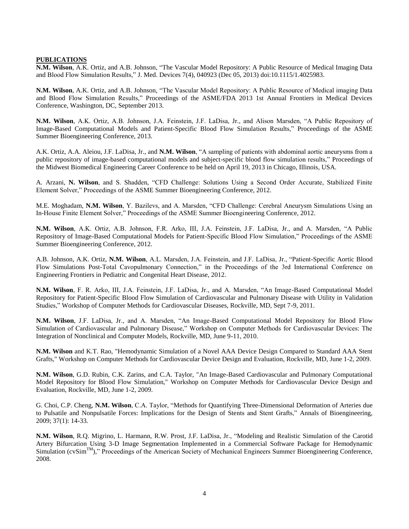#### **PUBLICATIONS**

**N.M. Wilson**, A.K. Ortiz, and A.B. Johnson, "The Vascular Model Repository: A Public Resource of Medical Imaging Data and Blood Flow Simulation Results," J. Med. Devices 7(4), 040923 (Dec 05, 2013) doi:10.1115/1.4025983.

**N.M. Wilson**, A.K. Ortiz, and A.B. Johnson, "The Vascular Model Repository: A Public Resource of Medical imaging Data and Blood Flow Simulation Results," Proceedings of the ASME/FDA 2013 1st Annual Frontiers in Medical Devices Conference, Washington, DC, September 2013.

**N.M. Wilson**, A.K. Ortiz, A.B. Johnson, J.A. Feinstein, J.F. LaDisa, Jr., and Alison Marsden, "A Public Repository of Image-Based Computational Models and Patient-Specific Blood Flow Simulation Results," Proceedings of the ASME Summer Bioengineering Conference, 2013.

A.K. Ortiz, A.A. Aleiou, J.F. LaDisa, Jr., and **N.M. Wilson**, "A sampling of patients with abdominal aortic aneurysms from a public repository of image-based computational models and subject-specific blood flow simulation results," Proceedings of the Midwest Biomedical Engineering Career Conference to be held on April 19, 2013 in Chicago, Illinois, USA.

A. Arzani, **N. Wilson**, and S. Shadden, "CFD Challenge: Solutions Using a Second Order Accurate, Stabilized Finite Element Solver," Proceedings of the ASME Summer Bioengineering Conference, 2012.

M.E. Moghadam, **N.M. Wilson**, Y. Bazilevs, and A. Marsden, "CFD Challenge: Cerebral Aneurysm Simulations Using an In-House Finite Element Solver," Proceedings of the ASME Summer Bioengineering Conference, 2012.

**N.M. Wilson**, A.K. Ortiz, A.B. Johnson, F.R. Arko, III, J.A. Feinstein, J.F. LaDisa, Jr., and A. Marsden, "A Public Repository of Image-Based Computational Models for Patient-Specific Blood Flow Simulation," Proceedings of the ASME Summer Bioengineering Conference, 2012.

A.B. Johnson, A.K. Ortiz, **N.M. Wilson**, A.L. Marsden, J.A. Feinstein, and J.F. LaDisa, Jr., "Patient-Specific Aortic Blood Flow Simulations Post-Total Cavopulmonary Connection," in the Proceedings of the 3rd International Conference on Engineering Frontiers in Pediatric and Congenital Heart Disease, 2012.

**N.M. Wilson**, F. R. Arko, III, J.A. Feinstein, J.F. LaDisa, Jr., and A. Marsden, "An Image-Based Computational Model Repository for Patient-Specific Blood Flow Simulation of Cardiovascular and Pulmonary Disease with Utility in Validation Studies," Workshop of Computer Methods for Cardiovascular Diseases, Rockville, MD, Sept 7-9, 2011.

**N.M. Wilson**, J.F. LaDisa, Jr., and A. Marsden, "An Image-Based Computational Model Repository for Blood Flow Simulation of Cardiovascular and Pulmonary Disease," Workshop on Computer Methods for Cardiovascular Devices: The Integration of Nonclinical and Computer Models, Rockville, MD, June 9-11, 2010.

**N.M. Wilson** and K.T. Rao, "Hemodynamic Simulation of a Novel AAA Device Design Compared to Standard AAA Stent Grafts," Workshop on Computer Methods for Cardiovascular Device Design and Evaluation, Rockville, MD, June 1-2, 2009.

**N.M. Wilson**, G.D. Rubin, C.K. Zarins, and C.A. Taylor, "An Image-Based Cardiovascular and Pulmonary Computational Model Repository for Blood Flow Simulation," Workshop on Computer Methods for Cardiovascular Device Design and Evaluation, Rockville, MD, June 1-2, 2009.

G. Choi, C.P. Cheng, **N.M. Wilson**, C.A. Taylor, "Methods for Quantifying Three-Dimensional Deformation of Arteries due to Pulsatile and Nonpulsatile Forces: Implications for the Design of Stents and Stent Grafts," Annals of Bioengineering, 2009; 37(1): 14-33.

**N.M. Wilson**, R.Q. Migrino, L. Harmann, R.W. Prost, J.F. LaDisa, Jr., "Modeling and Realistic Simulation of the Carotid Artery Bifurcation Using 3-D Image Segmentation Implemented in a Commercial Software Package for Hemodynamic Simulation (cvSim<sup>TM</sup>)," Proceedings of the American Society of Mechanical Engineers Summer Bioengineering Conference, 2008.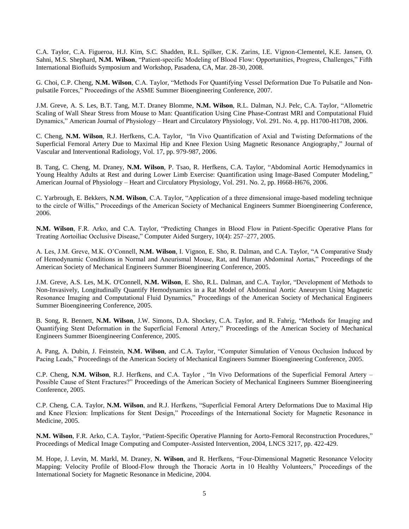C.A. Taylor, C.A. Figueroa, H.J. Kim, S.C. Shadden, R.L. Spilker, C.K. Zarins, I.E. Vignon-Clementel, K.E. Jansen, O. Sahni, M.S. Shephard, **N.M. Wilson**, "Patient-specific Modeling of Blood Flow: Opportunities, Progress, Challenges," Fifth International Biofluids Symposium and Workshop, Pasadena, CA, Mar. 28-30, 2008.

G. Choi, C.P. Cheng, **N.M. Wilson**, C.A. Taylor, "Methods For Quantifying Vessel Deformation Due To Pulsatile and Nonpulsatile Forces," Proceedings of the ASME Summer Bioengineering Conference, 2007.

J.M. Greve, A. S. Les, B.T. Tang, M.T. Draney Blomme, **N.M. Wilson**, R.L. Dalman, N.J. Pelc, C.A. Taylor, "Allometric Scaling of Wall Shear Stress from Mouse to Man: Quantification Using Cine Phase-Contrast MRI and Computational Fluid Dynamics," American Journal of Physiology – Heart and Circulatory Physiology, Vol. 291. No. 4, pp. H1700-H1708, 2006.

C. Cheng, **N.M. Wilson**, R.J. Herfkens, C.A. Taylor, "In Vivo Quantification of Axial and Twisting Deformations of the Superficial Femoral Artery Due to Maximal Hip and Knee Flexion Using Magnetic Resonance Angiography," Journal of Vascular and Interventional Radiology, Vol. 17, pp. 979-987, 2006.

B. Tang, C. Cheng, M. Draney, **N.M. Wilson**, P. Tsao, R. Herfkens, C.A. Taylor, "Abdominal Aortic Hemodynamics in Young Healthy Adults at Rest and during Lower Limb Exercise: Quantification using Image-Based Computer Modeling," American Journal of Physiology – Heart and Circulatory Physiology, Vol. 291. No. 2, pp. H668-H676, 2006.

C. Yarbrough, E. Bekkers, **N.M. Wilson**, C.A. Taylor, "Application of a three dimensional image-based modeling technique to the circle of Willis," Proceedings of the American Society of Mechanical Engineers Summer Bioengineering Conference, 2006.

**N.M. Wilson**, F.R. Arko, and C.A. Taylor, "Predicting Changes in Blood Flow in Patient-Specific Operative Plans for Treating Aortoiliac Occlusive Disease," Computer Aided Surgery, 10(4): 257–277, 2005.

A. Les, J.M. Greve, M.K. O'Connell, **N.M. Wilson**, I. Vignon, E. Sho, R. Dalman, and C.A. Taylor, "A Comparative Study of Hemodynamic Conditions in Normal and Aneurismal Mouse, Rat, and Human Abdominal Aortas," Proceedings of the American Society of Mechanical Engineers Summer Bioengineering Conference, 2005.

J.M. Greve, A.S. Les, M.K. O'Connell, **N.M. Wilson**, E. Sho, R.L. Dalman, and C.A. Taylor, "Development of Methods to Non-Invasively, Longitudinally Quantify Hemodynamics in a Rat Model of Abdominal Aortic Aneurysm Using Magnetic Resonance Imaging and Computational Fluid Dynamics," Proceedings of the American Society of Mechanical Engineers Summer Bioengineering Conference, 2005.

B. Song, R. Bennett, **N.M. Wilson**, J.W. Simons, D.A. Shockey, C.A. Taylor, and R. Fahrig, "Methods for Imaging and Quantifying Stent Deformation in the Superficial Femoral Artery," Proceedings of the American Society of Mechanical Engineers Summer Bioengineering Conference, 2005.

A. Pang, A. Dubin, J. Feinstein, **N.M. Wilson**, and C.A. Taylor, "Computer Simulation of Venous Occlusion Induced by Pacing Leads," Proceedings of the American Society of Mechanical Engineers Summer Bioengineering Conference, 2005.

C.P. Cheng, **N.M. Wilson**, R.J. Herfkens, and C.A. Taylor , "In Vivo Deformations of the Superficial Femoral Artery – Possible Cause of Stent Fractures?" Proceedings of the American Society of Mechanical Engineers Summer Bioengineering Conference, 2005.

C.P. Cheng, C.A. Taylor, **N.M. Wilson**, and R.J. Herfkens, "Superficial Femoral Artery Deformations Due to Maximal Hip and Knee Flexion: Implications for Stent Design," Proceedings of the International Society for Magnetic Resonance in Medicine, 2005.

**N.M. Wilson**, F.R. Arko, C.A. Taylor, "Patient-Specific Operative Planning for Aorto-Femoral Reconstruction Procedures," Proceedings of Medical Image Computing and Computer-Assisted Intervention, 2004, LNCS 3217, pp. 422-429.

M. Hope, J. Levin, M. Markl, M. Draney, **N. Wilson**, and R. Herfkens, "Four-Dimensional Magnetic Resonance Velocity Mapping: Velocity Profile of Blood-Flow through the Thoracic Aorta in 10 Healthy Volunteers," Proceedings of the International Society for Magnetic Resonance in Medicine, 2004.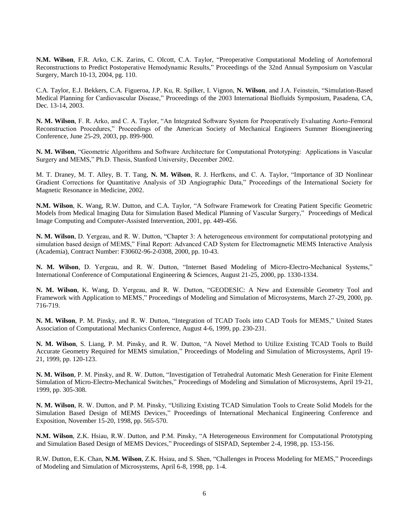**N.M. Wilson**, F.R. Arko, C.K. Zarins, C. Olcott, C.A. Taylor, "Preoperative Computational Modeling of Aortofemoral Reconstructions to Predict Postoperative Hemodynamic Results," Proceedings of the 32nd Annual Symposium on Vascular Surgery, March 10-13, 2004, pg. 110.

C.A. Taylor, E.J. Bekkers, C.A. Figueroa, J.P. Ku, R. Spilker, I. Vignon, **N. Wilson**, and J.A. Feinstein, "Simulation-Based Medical Planning for Cardiovascular Disease," Proceedings of the 2003 International Biofluids Symposium, Pasadena, CA, Dec. 13-14, 2003.

**N. M. Wilson**, F. R. Arko, and C. A. Taylor, "An Integrated Software System for Preoperatively Evaluating Aorto-Femoral Reconstruction Procedures," Proceedings of the American Society of Mechanical Engineers Summer Bioengineering Conference, June 25-29, 2003, pp. 899-900.

**N. M. Wilson**, "Geometric Algorithms and Software Architecture for Computational Prototyping: Applications in Vascular Surgery and MEMS," Ph.D. Thesis, Stanford University, December 2002.

M. T. Draney, M. T. Alley, B. T. Tang, **N. M. Wilson**, R. J. Herfkens, and C. A. Taylor, "Importance of 3D Nonlinear Gradient Corrections for Quantitative Analysis of 3D Angiographic Data," Proceedings of the International Society for Magnetic Resonance in Medicine, 2002.

**N.M. Wilson**, K. Wang, R.W. Dutton, and C.A. Taylor, "A Software Framework for Creating Patient Specific Geometric Models from Medical Imaging Data for Simulation Based Medical Planning of Vascular Surgery," Proceedings of Medical Image Computing and Computer-Assisted Intervention, 2001, pp. 449-456.

**N. M. Wilson**, D. Yergeau, and R. W. Dutton, "Chapter 3: A heterogeneous environment for computational prototyping and simulation based design of MEMS," Final Report: Advanced CAD System for Electromagnetic MEMS Interactive Analysis (Academia), Contract Number: F30602-96-2-0308, 2000, pp. 10-43.

**N. M. Wilson**, D. Yergeau, and R. W. Dutton, "Internet Based Modeling of Micro-Electro-Mechanical Systems," International Conference of Computational Engineering & Sciences, August 21-25, 2000, pp. 1330-1334.

**N. M. Wilson**, K. Wang, D. Yergeau, and R. W. Dutton, "GEODESIC: A New and Extensible Geometry Tool and Framework with Application to MEMS," Proceedings of Modeling and Simulation of Microsystems, March 27-29, 2000, pp. 716-719.

**N. M. Wilson**, P. M. Pinsky, and R. W. Dutton, "Integration of TCAD Tools into CAD Tools for MEMS," United States Association of Computational Mechanics Conference, August 4-6, 1999, pp. 230-231.

**N. M. Wilson**, S. Liang, P. M. Pinsky, and R. W. Dutton, "A Novel Method to Utilize Existing TCAD Tools to Build Accurate Geometry Required for MEMS simulation," Proceedings of Modeling and Simulation of Microsystems, April 19- 21, 1999, pp. 120-123.

**N. M. Wilson**, P. M. Pinsky, and R. W. Dutton, "Investigation of Tetrahedral Automatic Mesh Generation for Finite Element Simulation of Micro-Electro-Mechanical Switches," Proceedings of Modeling and Simulation of Microsystems, April 19-21, 1999, pp. 305-308.

**N. M. Wilson**, R. W. Dutton, and P. M. Pinsky, "Utilizing Existing TCAD Simulation Tools to Create Solid Models for the Simulation Based Design of MEMS Devices," Proceedings of International Mechanical Engineering Conference and Exposition, November 15-20, 1998, pp. 565-570.

**N.M. Wilson**, Z.K. Hsiau, R.W. Dutton, and P.M. Pinsky, "A Heterogeneous Environment for Computational Prototyping and Simulation Based Design of MEMS Devices," Proceedings of SISPAD, September 2-4, 1998, pp. 153-156.

R.W. Dutton, E.K. Chan, **N.M. Wilson**, Z.K. Hsiau, and S. Shen, "Challenges in Process Modeling for MEMS," Proceedings of Modeling and Simulation of Microsystems, April 6-8, 1998, pp. 1-4.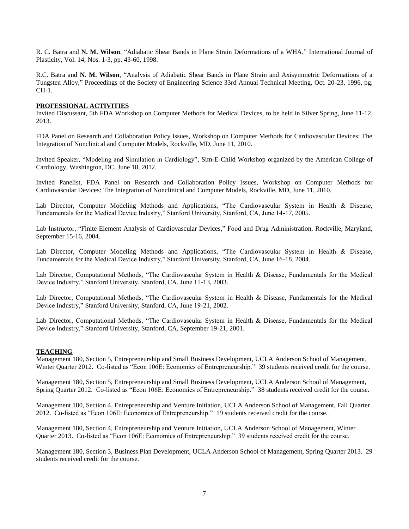R. C. Batra and **N. M. Wilson**, "Adiabatic Shear Bands in Plane Strain Deformations of a WHA," International Journal of Plasticity, Vol. 14, Nos. 1-3, pp. 43-60, 1998.

R.C. Batra and **N. M. Wilson**, "Analysis of Adiabatic Shear Bands in Plane Strain and Axisymmetric Deformations of a Tungsten Alloy," Proceedings of the Society of Engineering Science 33rd Annual Technical Meeting, Oct. 20-23, 1996, pg. CH-1.

#### **PROFESSIONAL ACTIVITIES**

Invited Discussant, 5th FDA Workshop on Computer Methods for Medical Devices, to be held in Silver Spring, June 11-12, 2013.

FDA Panel on Research and Collaboration Policy Issues, Workshop on Computer Methods for Cardiovascular Devices: The Integration of Nonclinical and Computer Models, Rockville, MD, June 11, 2010.

Invited Speaker, "Modeling and Simulation in Cardiology", Sim-E-Child Workshop organized by the American College of Cardiology, Washington, DC, June 18, 2012.

Invited Panelist, FDA Panel on Research and Collaboration Policy Issues, Workshop on Computer Methods for Cardiovascular Devices: The Integration of Nonclinical and Computer Models, Rockville, MD, June 11, 2010.

Lab Director, Computer Modeling Methods and Applications, "The Cardiovascular System in Health & Disease, Fundamentals for the Medical Device Industry," Stanford University, Stanford, CA, June 14-17, 2005.

Lab Instructor, "Finite Element Analysis of Cardiovascular Devices," Food and Drug Administration, Rockville, Maryland, September 15-16, 2004.

Lab Director, Computer Modeling Methods and Applications, "The Cardiovascular System in Health & Disease, Fundamentals for the Medical Device Industry," Stanford University, Stanford, CA, June 16-18, 2004.

Lab Director, Computational Methods, "The Cardiovascular System in Health & Disease, Fundamentals for the Medical Device Industry," Stanford University, Stanford, CA, June 11-13, 2003.

Lab Director, Computational Methods, "The Cardiovascular System in Health & Disease, Fundamentals for the Medical Device Industry," Stanford University, Stanford, CA, June 19-21, 2002.

Lab Director, Computational Methods, "The Cardiovascular System in Health & Disease, Fundamentals for the Medical Device Industry," Stanford University, Stanford, CA, September 19-21, 2001.

#### **TEACHING**

Management 180, Section 5, Entrepreneurship and Small Business Development, UCLA Anderson School of Management, Winter Quarter 2012. Co-listed as "Econ 106E: Economics of Entrepreneurship." 39 students received credit for the course.

Management 180, Section 5, Entrepreneurship and Small Business Development, UCLA Anderson School of Management, Spring Quarter 2012. Co-listed as "Econ 106E: Economics of Entrepreneurship." 38 students received credit for the course.

Management 180, Section 4, Entrepreneurship and Venture Initiation, UCLA Anderson School of Management, Fall Quarter 2012. Co-listed as "Econ 106E: Economics of Entrepreneurship." 19 students received credit for the course.

Management 180, Section 4, Entrepreneurship and Venture Initiation, UCLA Anderson School of Management, Winter Quarter 2013. Co-listed as "Econ 106E: Economics of Entrepreneurship." 39 students received credit for the course.

Management 180, Section 3, Business Plan Development, UCLA Anderson School of Management, Spring Quarter 2013. 29 students received credit for the course.